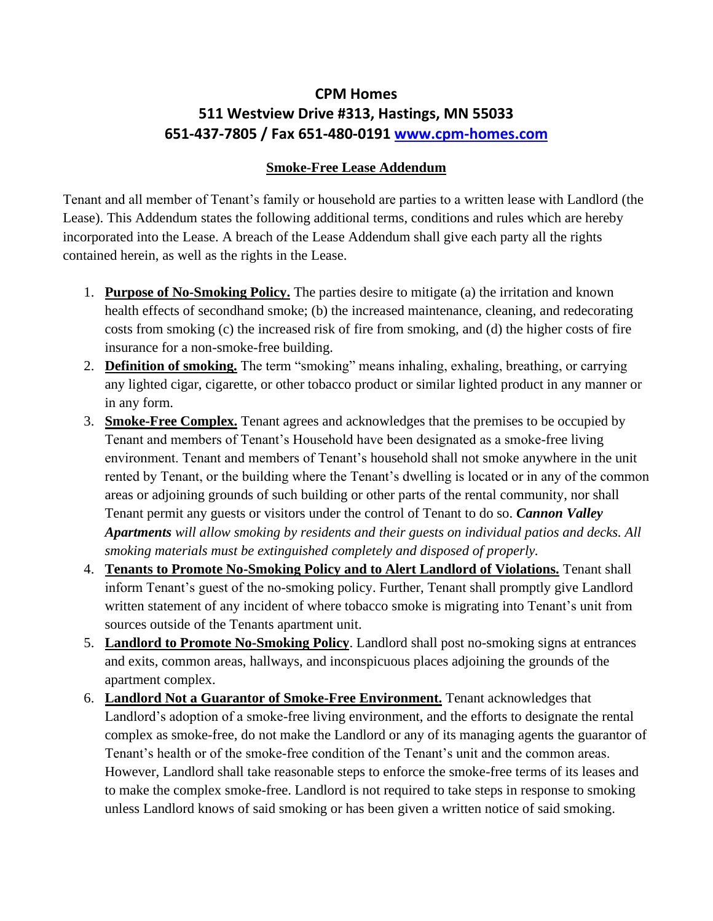## **CPM Homes 511 Westview Drive #313, Hastings, MN 55033 651-437-7805 / Fax 651-480-0191 [www.cpm-homes.com](http://www.cpm-homes.com/)**

## **Smoke-Free Lease Addendum**

Tenant and all member of Tenant's family or household are parties to a written lease with Landlord (the Lease). This Addendum states the following additional terms, conditions and rules which are hereby incorporated into the Lease. A breach of the Lease Addendum shall give each party all the rights contained herein, as well as the rights in the Lease.

- 1. **Purpose of No-Smoking Policy.** The parties desire to mitigate (a) the irritation and known health effects of secondhand smoke; (b) the increased maintenance, cleaning, and redecorating costs from smoking (c) the increased risk of fire from smoking, and (d) the higher costs of fire insurance for a non-smoke-free building.
- 2. **Definition of smoking.** The term "smoking" means inhaling, exhaling, breathing, or carrying any lighted cigar, cigarette, or other tobacco product or similar lighted product in any manner or in any form.
- 3. **Smoke-Free Complex.** Tenant agrees and acknowledges that the premises to be occupied by Tenant and members of Tenant's Household have been designated as a smoke-free living environment. Tenant and members of Tenant's household shall not smoke anywhere in the unit rented by Tenant, or the building where the Tenant's dwelling is located or in any of the common areas or adjoining grounds of such building or other parts of the rental community, nor shall Tenant permit any guests or visitors under the control of Tenant to do so. *Cannon Valley Apartments will allow smoking by residents and their guests on individual patios and decks. All smoking materials must be extinguished completely and disposed of properly.*
- 4. **Tenants to Promote No-Smoking Policy and to Alert Landlord of Violations.** Tenant shall inform Tenant's guest of the no-smoking policy. Further, Tenant shall promptly give Landlord written statement of any incident of where tobacco smoke is migrating into Tenant's unit from sources outside of the Tenants apartment unit.
- 5. **Landlord to Promote No-Smoking Policy**. Landlord shall post no-smoking signs at entrances and exits, common areas, hallways, and inconspicuous places adjoining the grounds of the apartment complex.
- 6. **Landlord Not a Guarantor of Smoke-Free Environment.** Tenant acknowledges that Landlord's adoption of a smoke-free living environment, and the efforts to designate the rental complex as smoke-free, do not make the Landlord or any of its managing agents the guarantor of Tenant's health or of the smoke-free condition of the Tenant's unit and the common areas. However, Landlord shall take reasonable steps to enforce the smoke-free terms of its leases and to make the complex smoke-free. Landlord is not required to take steps in response to smoking unless Landlord knows of said smoking or has been given a written notice of said smoking.